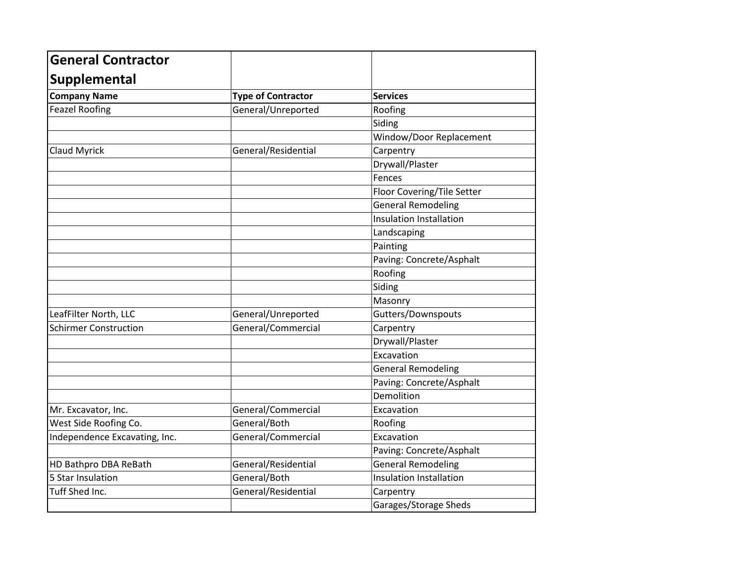| <b>General Contractor</b>     |                           |                            |
|-------------------------------|---------------------------|----------------------------|
| Supplemental                  |                           |                            |
| <b>Company Name</b>           | <b>Type of Contractor</b> | <b>Services</b>            |
| <b>Feazel Roofing</b>         | General/Unreported        | Roofing                    |
|                               |                           | Siding                     |
|                               |                           | Window/Door Replacement    |
| <b>Claud Myrick</b>           | General/Residential       | Carpentry                  |
|                               |                           | Drywall/Plaster            |
|                               |                           | Fences                     |
|                               |                           | Floor Covering/Tile Setter |
|                               |                           | <b>General Remodeling</b>  |
|                               |                           | Insulation Installation    |
|                               |                           | Landscaping                |
|                               |                           | Painting                   |
|                               |                           | Paving: Concrete/Asphalt   |
|                               |                           | Roofing                    |
|                               |                           | Siding                     |
|                               |                           | Masonry                    |
| LeafFilter North, LLC         | General/Unreported        | Gutters/Downspouts         |
| <b>Schirmer Construction</b>  | General/Commercial        | Carpentry                  |
|                               |                           | Drywall/Plaster            |
|                               |                           | Excavation                 |
|                               |                           | <b>General Remodeling</b>  |
|                               |                           | Paving: Concrete/Asphalt   |
|                               |                           | Demolition                 |
| Mr. Excavator, Inc.           | General/Commercial        | Excavation                 |
| West Side Roofing Co.         | General/Both              | Roofing                    |
| Independence Excavating, Inc. | General/Commercial        | Excavation                 |
|                               |                           | Paving: Concrete/Asphalt   |
| HD Bathpro DBA ReBath         | General/Residential       | <b>General Remodeling</b>  |
| 5 Star Insulation             | General/Both              | Insulation Installation    |
| Tuff Shed Inc.                | General/Residential       | Carpentry                  |
|                               |                           | Garages/Storage Sheds      |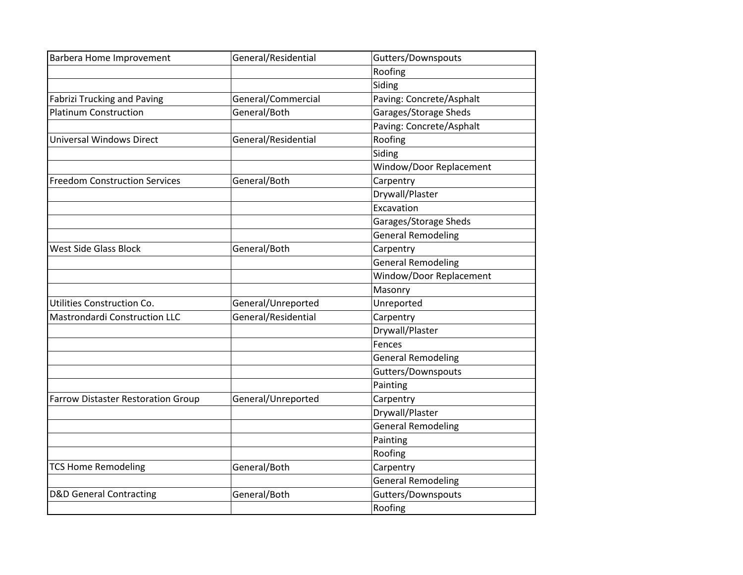| <b>Barbera Home Improvement</b>           | General/Residential | Gutters/Downspouts        |
|-------------------------------------------|---------------------|---------------------------|
|                                           |                     | Roofing                   |
|                                           |                     | Siding                    |
| <b>Fabrizi Trucking and Paving</b>        | General/Commercial  | Paving: Concrete/Asphalt  |
| <b>Platinum Construction</b>              | General/Both        | Garages/Storage Sheds     |
|                                           |                     | Paving: Concrete/Asphalt  |
| <b>Universal Windows Direct</b>           | General/Residential | Roofing                   |
|                                           |                     | Siding                    |
|                                           |                     | Window/Door Replacement   |
| <b>Freedom Construction Services</b>      | General/Both        | Carpentry                 |
|                                           |                     | Drywall/Plaster           |
|                                           |                     | Excavation                |
|                                           |                     | Garages/Storage Sheds     |
|                                           |                     | <b>General Remodeling</b> |
| <b>West Side Glass Block</b>              | General/Both        | Carpentry                 |
|                                           |                     | <b>General Remodeling</b> |
|                                           |                     | Window/Door Replacement   |
|                                           |                     | Masonry                   |
| Utilities Construction Co.                | General/Unreported  | Unreported                |
| <b>Mastrondardi Construction LLC</b>      | General/Residential | Carpentry                 |
|                                           |                     | Drywall/Plaster           |
|                                           |                     | Fences                    |
|                                           |                     | <b>General Remodeling</b> |
|                                           |                     | Gutters/Downspouts        |
|                                           |                     | Painting                  |
| <b>Farrow Distaster Restoration Group</b> | General/Unreported  | Carpentry                 |
|                                           |                     | Drywall/Plaster           |
|                                           |                     | <b>General Remodeling</b> |
|                                           |                     | Painting                  |
|                                           |                     | Roofing                   |
| <b>TCS Home Remodeling</b>                | General/Both        | Carpentry                 |
|                                           |                     | <b>General Remodeling</b> |
| <b>D&amp;D General Contracting</b>        | General/Both        | Gutters/Downspouts        |
|                                           |                     | Roofing                   |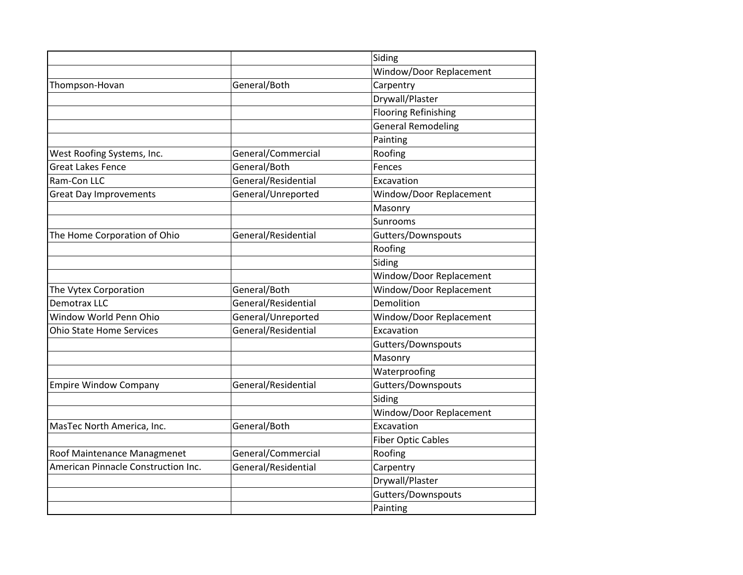|                                     |                     | Siding                      |
|-------------------------------------|---------------------|-----------------------------|
|                                     |                     | Window/Door Replacement     |
| Thompson-Hovan                      | General/Both        | Carpentry                   |
|                                     |                     | Drywall/Plaster             |
|                                     |                     | <b>Flooring Refinishing</b> |
|                                     |                     | <b>General Remodeling</b>   |
|                                     |                     | Painting                    |
| West Roofing Systems, Inc.          | General/Commercial  | Roofing                     |
| <b>Great Lakes Fence</b>            | General/Both        | Fences                      |
| Ram-Con LLC                         | General/Residential | Excavation                  |
| <b>Great Day Improvements</b>       | General/Unreported  | Window/Door Replacement     |
|                                     |                     | Masonry                     |
|                                     |                     | Sunrooms                    |
| The Home Corporation of Ohio        | General/Residential | Gutters/Downspouts          |
|                                     |                     | Roofing                     |
|                                     |                     | Siding                      |
|                                     |                     | Window/Door Replacement     |
| The Vytex Corporation               | General/Both        | Window/Door Replacement     |
| Demotrax LLC                        | General/Residential | Demolition                  |
| Window World Penn Ohio              | General/Unreported  | Window/Door Replacement     |
| <b>Ohio State Home Services</b>     | General/Residential | Excavation                  |
|                                     |                     | Gutters/Downspouts          |
|                                     |                     | Masonry                     |
|                                     |                     | Waterproofing               |
| <b>Empire Window Company</b>        | General/Residential | Gutters/Downspouts          |
|                                     |                     | Siding                      |
|                                     |                     | Window/Door Replacement     |
| MasTec North America, Inc.          | General/Both        | Excavation                  |
|                                     |                     | <b>Fiber Optic Cables</b>   |
| Roof Maintenance Managmenet         | General/Commercial  | Roofing                     |
| American Pinnacle Construction Inc. | General/Residential | Carpentry                   |
|                                     |                     | Drywall/Plaster             |
|                                     |                     | Gutters/Downspouts          |
|                                     |                     | Painting                    |